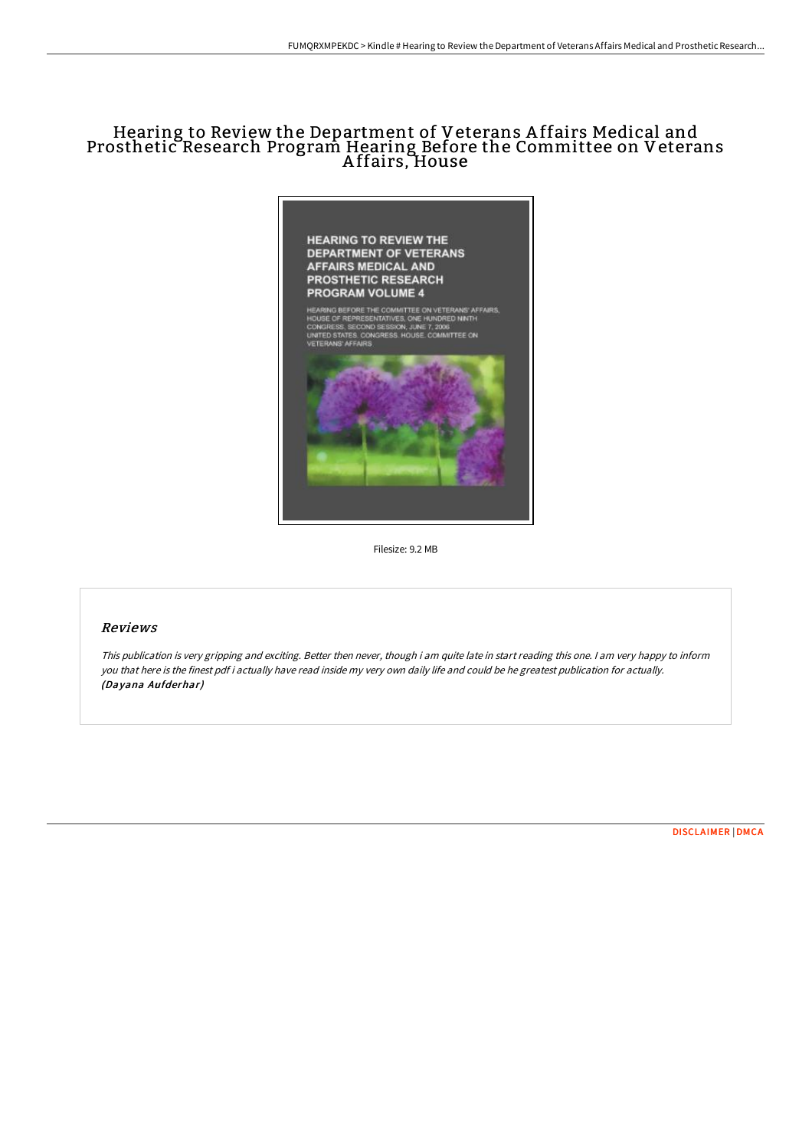# Hearing to Review the Department of Veterans A ffairs Medical and Prosthetic Research Program Hearing Before the Committee on Veterans A ffairs, House



Filesize: 9.2 MB

### Reviews

This publication is very gripping and exciting. Better then never, though i am quite late in start reading this one. <sup>I</sup> am very happy to inform you that here is the finest pdf i actually have read inside my very own daily life and could be he greatest publication for actually. (Dayana Aufderhar)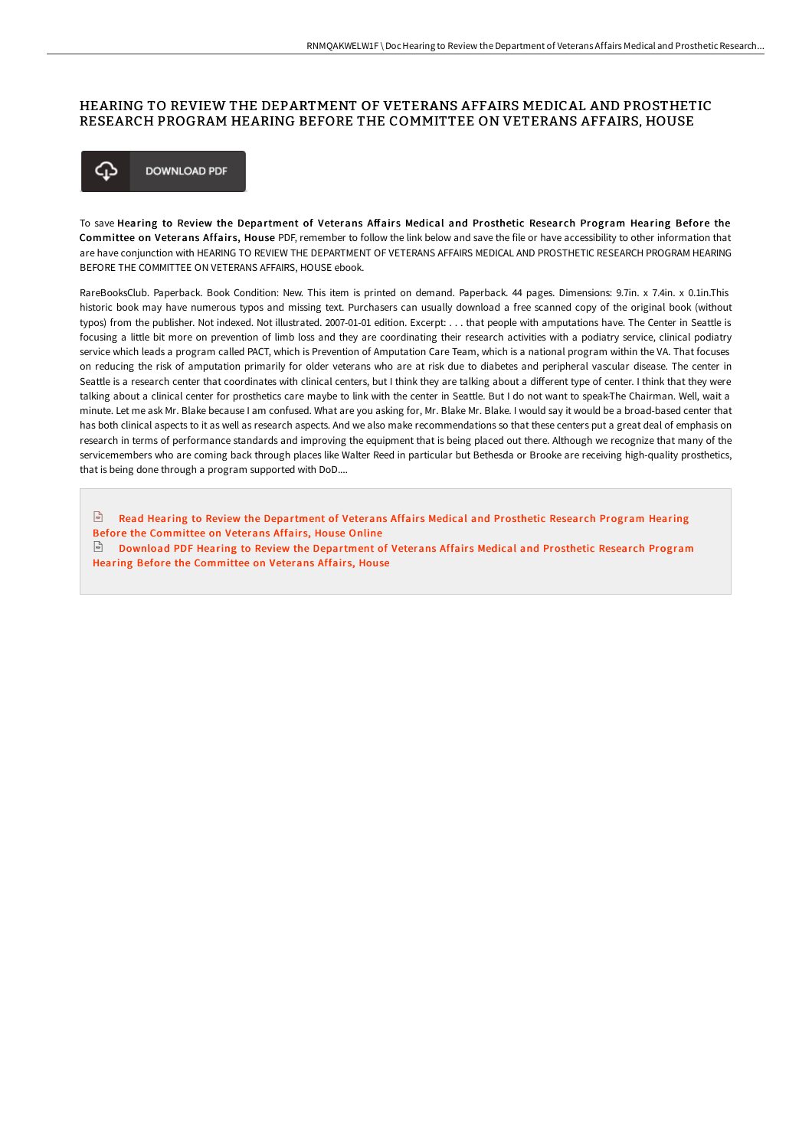#### HEARING TO REVIEW THE DEPARTMENT OF VETERANS AFFAIRS MEDICAL AND PROSTHETIC RESEARCH PROGRAM HEARING BEFORE THE COMMITTEE ON VETERANS AFFAIRS, HOUSE



To save Hearing to Review the Department of Veterans Affairs Medical and Prosthetic Research Program Hearing Before the Committee on Veterans Affairs, House PDF, remember to follow the link below and save the file or have accessibility to other information that are have conjunction with HEARING TO REVIEW THE DEPARTMENT OF VETERANS AFFAIRS MEDICAL AND PROSTHETIC RESEARCH PROGRAM HEARING BEFORE THE COMMITTEE ON VETERANS AFFAIRS, HOUSE ebook.

RareBooksClub. Paperback. Book Condition: New. This item is printed on demand. Paperback. 44 pages. Dimensions: 9.7in. x 7.4in. x 0.1in.This historic book may have numerous typos and missing text. Purchasers can usually download a free scanned copy of the original book (without typos) from the publisher. Not indexed. Not illustrated. 2007-01-01 edition. Excerpt: . . . that people with amputations have. The Center in Seattle is focusing a little bit more on prevention of limb loss and they are coordinating their research activities with a podiatry service, clinical podiatry service which leads a program called PACT, which is Prevention of Amputation Care Team, which is a national program within the VA. That focuses on reducing the risk of amputation primarily for older veterans who are at risk due to diabetes and peripheral vascular disease. The center in Seattle is a research center that coordinates with clinical centers, but I think they are talking about a different type of center. I think that they were talking about a clinical center for prosthetics care maybe to link with the center in Seattle. But I do not want to speak-The Chairman. Well, wait a minute. Let me ask Mr. Blake because I am confused. What are you asking for, Mr. Blake Mr. Blake. I would say it would be a broad-based center that has both clinical aspects to it as well as research aspects. And we also make recommendations so that these centers put a great deal of emphasis on research in terms of performance standards and improving the equipment that is being placed out there. Although we recognize that many of the servicemembers who are coming back through places like Walter Reed in particular but Bethesda or Brooke are receiving high-quality prosthetics, that is being done through a program supported with DoD....

 $\mathbb F$  Read Hearing to Review the [Department](http://techno-pub.tech/hearing-to-review-the-department-of-veterans-aff.html) of Veterans Affairs Medical and Prosthetic Research Program Hearing Before the Committee on Veterans Affair s, House Online  $\Box$  Download PDF Hearing to Review the [Department](http://techno-pub.tech/hearing-to-review-the-department-of-veterans-aff.html) of Veterans Affairs Medical and Prosthetic Research Program Hearing Before the Committee on Veterans Affairs, House